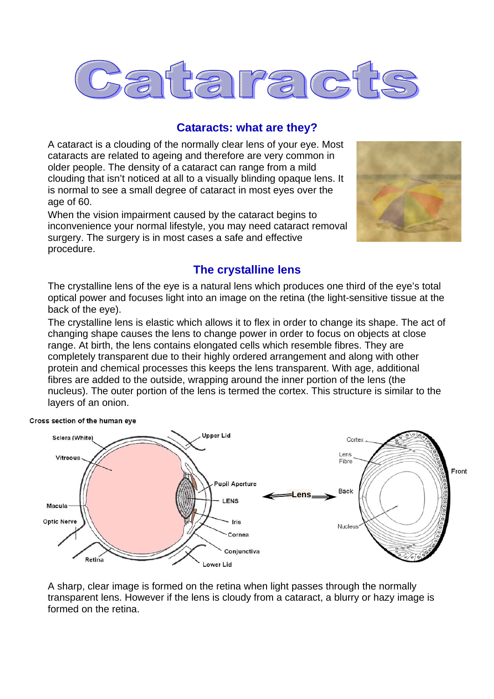

#### **Cataracts: what are they?**

A cataract is a clouding of the normally clear lens of your eye. Most cataracts are related to ageing and therefore are very common in older people. The density of a cataract can range from a mild clouding that isn't noticed at all to a visually blinding opaque lens. It is normal to see a small degree of cataract in most eyes over the age of 60.

When the vision impairment caused by the cataract begins to inconvenience your normal lifestyle, you may need cataract removal surgery. The surgery is in most cases a safe and effective procedure.

Cross section of the human eye



#### **The crystalline lens**

The crystalline lens of the eye is a natural lens which produces one third of the eye's total optical power and focuses light into an image on the retina (the light-sensitive tissue at the back of the eye).

The crystalline lens is elastic which allows it to flex in order to change its shape. The act of changing shape causes the lens to change power in order to focus on objects at close range. At birth, the lens contains elongated cells which resemble fibres. They are completely transparent due to their highly ordered arrangement and along with other protein and chemical processes this keeps the lens transparent. With age, additional fibres are added to the outside, wrapping around the inner portion of the lens (the nucleus). The outer portion of the lens is termed the cortex. This structure is similar to the layers of an onion.



A sharp, clear image is formed on the retina when light passes through the normally transparent lens. However if the lens is cloudy from a cataract, a blurry or hazy image is formed on the retina.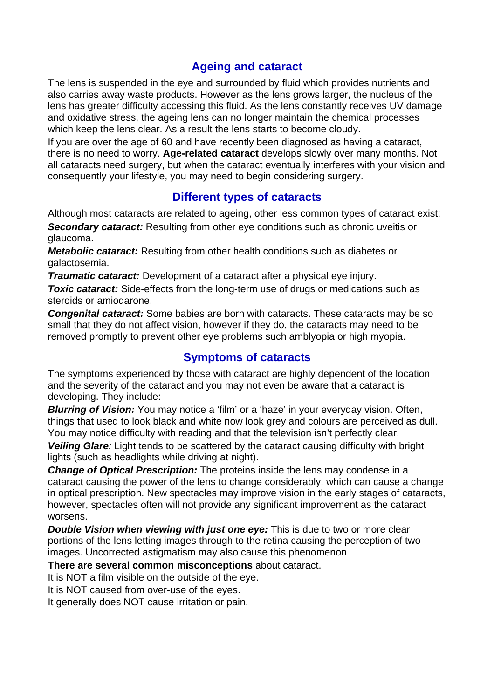# **Ageing and cataract**

The lens is suspended in the eye and surrounded by fluid which provides nutrients and also carries away waste products. However as the lens grows larger, the nucleus of the lens has greater difficulty accessing this fluid. As the lens constantly receives UV damage and oxidative stress, the ageing lens can no longer maintain the chemical processes which keep the lens clear. As a result the lens starts to become cloudy.

If you are over the age of 60 and have recently been diagnosed as having a cataract, there is no need to worry. **Age-related cataract** develops slowly over many months. Not all cataracts need surgery, but when the cataract eventually interferes with your vision and consequently your lifestyle, you may need to begin considering surgery.

## **Different types of cataracts**

Although most cataracts are related to ageing, other less common types of cataract exist: **Secondary cataract:** Resulting from other eye conditions such as chronic uveitis or glaucoma.

*Metabolic cataract:* Resulting from other health conditions such as diabetes or galactosemia.

*Traumatic cataract:* Development of a cataract after a physical eye injury.

**Toxic cataract:** Side-effects from the long-term use of drugs or medications such as steroids or amiodarone.

*Congenital cataract:* Some babies are born with cataracts. These cataracts may be so small that they do not affect vision, however if they do, the cataracts may need to be removed promptly to prevent other eye problems such amblyopia or high myopia.

#### **Symptoms of cataracts**

The symptoms experienced by those with cataract are highly dependent of the location and the severity of the cataract and you may not even be aware that a cataract is developing. They include:

*Blurring of Vision:* You may notice a 'film' or a 'haze' in your everyday vision. Often, things that used to look black and white now look grey and colours are perceived as dull. You may notice difficulty with reading and that the television isn't perfectly clear.

*Veiling Glare:* Light tends to be scattered by the cataract causing difficulty with bright lights (such as headlights while driving at night).

*Change of Optical Prescription:* The proteins inside the lens may condense in a cataract causing the power of the lens to change considerably, which can cause a change in optical prescription. New spectacles may improve vision in the early stages of cataracts, however, spectacles often will not provide any significant improvement as the cataract worsens.

*Double Vision when viewing with just one eye:* This is due to two or more clear portions of the lens letting images through to the retina causing the perception of two images. Uncorrected astigmatism may also cause this phenomenon

**There are several common misconceptions** about cataract.

It is NOT a film visible on the outside of the eye.

It is NOT caused from over-use of the eyes.

It generally does NOT cause irritation or pain.